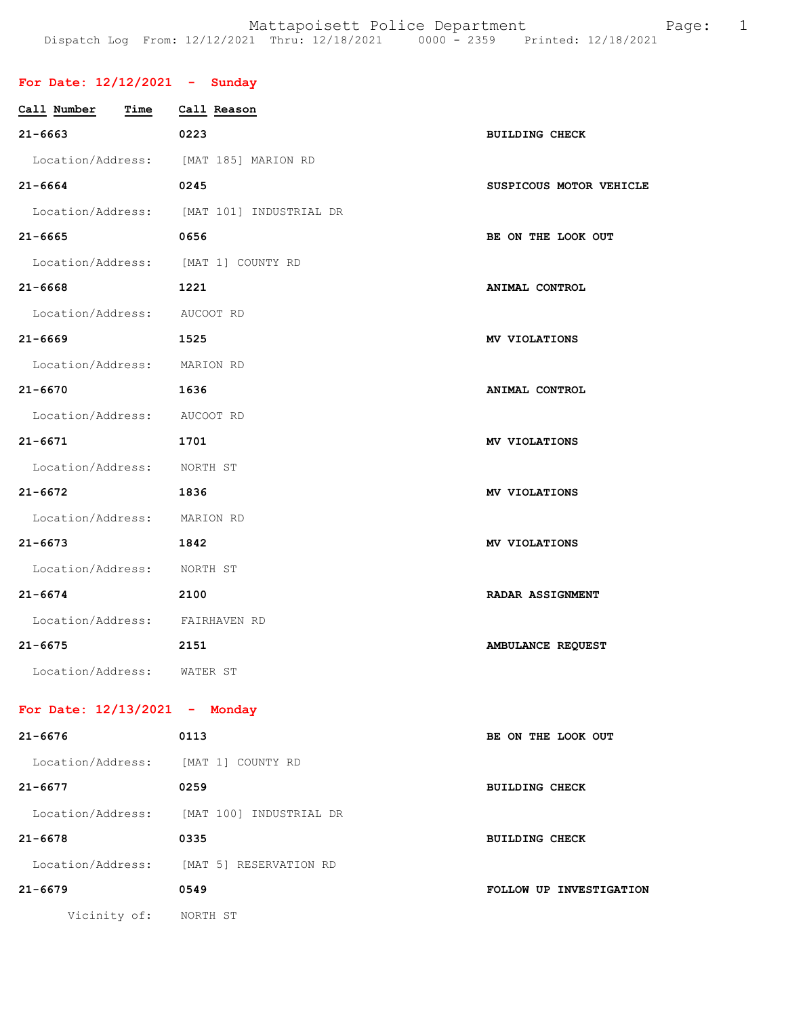## **For Date: 12/12/2021 - Sunday**

| Call Number<br>Time                 | Call Reason                               |                         |
|-------------------------------------|-------------------------------------------|-------------------------|
| $21 - 6663$                         | 0223                                      | <b>BUILDING CHECK</b>   |
|                                     | Location/Address: [MAT 185] MARION RD     |                         |
| $21 - 6664$                         | 0245                                      | SUSPICOUS MOTOR VEHICLE |
|                                     | Location/Address: [MAT 101] INDUSTRIAL DR |                         |
| $21 - 6665$                         | 0656                                      | BE ON THE LOOK OUT      |
| Location/Address: [MAT 1] COUNTY RD |                                           |                         |
| $21 - 6668$                         | 1221                                      | ANIMAL CONTROL          |
| Location/Address: AUCOOT RD         |                                           |                         |
| $21 - 6669$                         | 1525                                      | MV VIOLATIONS           |
| Location/Address: MARION RD         |                                           |                         |
| $21 - 6670$                         | 1636                                      | ANIMAL CONTROL          |
| Location/Address: AUCOOT RD         |                                           |                         |
| $21 - 6671$                         | 1701                                      | MV VIOLATIONS           |
| Location/Address: NORTH ST          |                                           |                         |
| 21-6672                             | 1836                                      | MV VIOLATIONS           |
| Location/Address: MARION RD         |                                           |                         |
| $21 - 6673$                         | 1842                                      | MV VIOLATIONS           |
| Location/Address: NORTH ST          |                                           |                         |
| $21 - 6674$                         | 2100                                      | <b>RADAR ASSIGNMENT</b> |
| Location/Address: FAIRHAVEN RD      |                                           |                         |
| $21 - 6675$                         | 2151                                      | AMBULANCE REQUEST       |
| Location/Address: WATER ST          |                                           |                         |
| For Date: $12/13/2021$ - Monday     |                                           |                         |
| $21 - 6676$                         | 0113                                      | BE ON THE LOOK OUT      |
| Location/Address: [MAT 1] COUNTY RD |                                           |                         |
| $21 - 6677$                         | 0259                                      | <b>BUILDING CHECK</b>   |
|                                     | Location/Address: [MAT 100] INDUSTRIAL DR |                         |

**21-6678 0335 BUILDING CHECK** 

**21-6679 0549 FOLLOW UP INVESTIGATION** 

Vicinity of: NORTH ST

Location/Address: [MAT 5] RESERVATION RD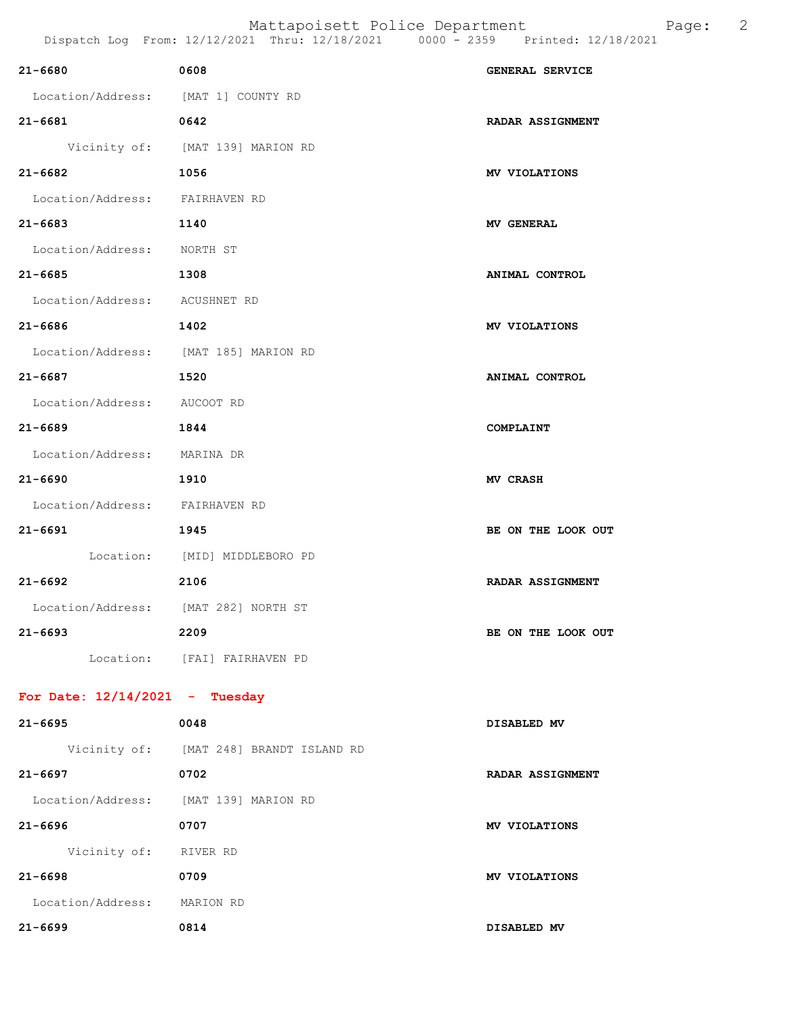| 21-6680 0608                          |                                         | GENERAL SERVICE         |
|---------------------------------------|-----------------------------------------|-------------------------|
| Location/Address: [MAT 1] COUNTY RD   |                                         |                         |
| $21 - 6681$                           | 0642                                    | <b>RADAR ASSIGNMENT</b> |
|                                       | Vicinity of: [MAT 139] MARION RD        |                         |
| 21-6682 1056                          |                                         | MV VIOLATIONS           |
| Location/Address: FAIRHAVEN RD        |                                         |                         |
| 21-6683 1140                          |                                         | <b>MV GENERAL</b>       |
| Location/Address: NORTH ST            |                                         |                         |
| 21-6685                               | 1308                                    | ANIMAL CONTROL          |
| Location/Address: ACUSHNET RD         |                                         |                         |
| $21 - 6686$ 1402                      |                                         | MV VIOLATIONS           |
| Location/Address: [MAT 185] MARION RD |                                         |                         |
| 21-6687 1520                          |                                         | ANIMAL CONTROL          |
| Location/Address: AUCOOT RD           |                                         |                         |
| 21-6689                               | 1844                                    | COMPLAINT               |
| Location/Address: MARINA DR           |                                         |                         |
| 21-6690 1910                          |                                         | <b>MV CRASH</b>         |
| Location/Address: FAIRHAVEN RD        |                                         |                         |
| 21-6691<br>1945                       |                                         | BE ON THE LOOK OUT      |
|                                       | Location: [MID] MIDDLEBORO PD           |                         |
| 21-6692                               | 2106                                    | <b>RADAR ASSIGNMENT</b> |
| Location/Address: [MAT 282] NORTH ST  |                                         |                         |
| $21 - 6693$                           | 2209                                    | BE ON THE LOOK OUT      |
|                                       | Location: [FAI] FAIRHAVEN PD            |                         |
| For Date: $12/14/2021$ - Tuesday      |                                         |                         |
| $21 - 6695$                           | 0048                                    | DISABLED MV             |
|                                       | Vicinity of: [MAT 248] BRANDT ISLAND RD |                         |
| $21 - 6697$                           | 0702                                    | <b>RADAR ASSIGNMENT</b> |
| Location/Address: [MAT 139] MARION RD |                                         |                         |
| $21 - 6696$                           | 0707                                    | MV VIOLATIONS           |
| Vicinity of: RIVER RD                 |                                         |                         |
| $21 - 6698$                           | 0709                                    | MV VIOLATIONS           |
| Location/Address: MARION RD           |                                         |                         |
| 21-6699<br>0814                       |                                         | DISABLED MV             |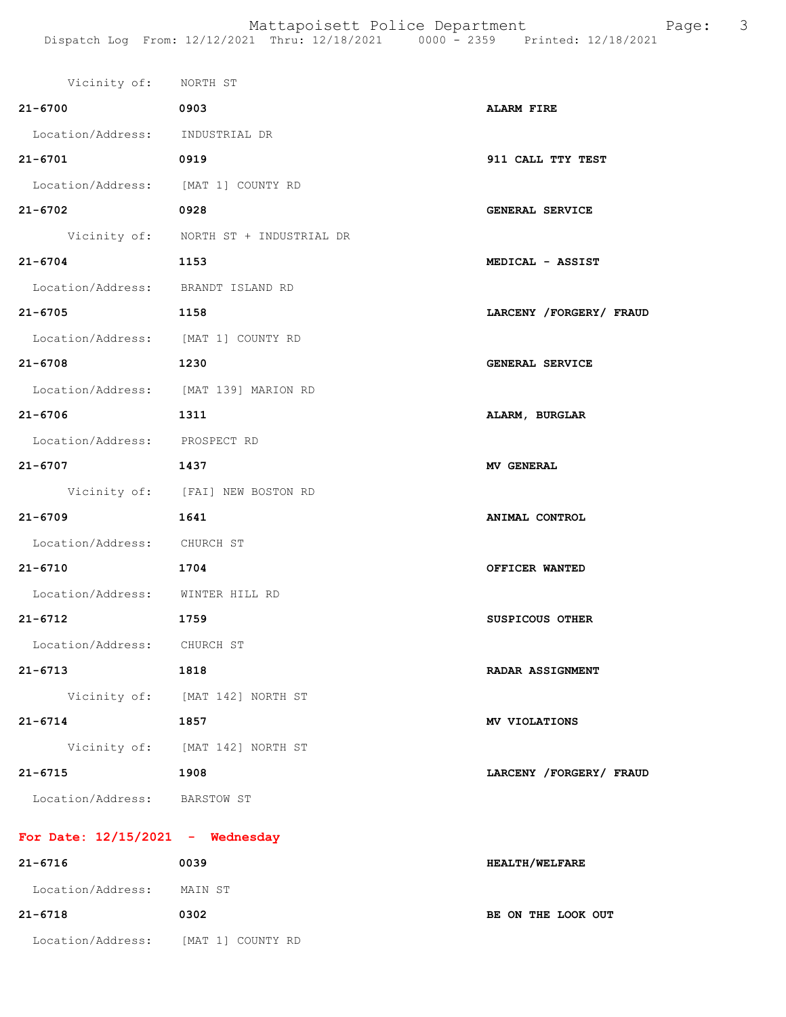| Vicinity of: NORTH ST               |                                       |                           |
|-------------------------------------|---------------------------------------|---------------------------|
| $21 - 6700$                         | 0903                                  | <b>ALARM FIRE</b>         |
| Location/Address: INDUSTRIAL DR     |                                       |                           |
| $21 - 6701$                         | 0919                                  | 911 CALL TTY TEST         |
| Location/Address: [MAT 1] COUNTY RD |                                       |                           |
| $21 - 6702$                         | 0928                                  | <b>GENERAL SERVICE</b>    |
|                                     | Vicinity of: NORTH ST + INDUSTRIAL DR |                           |
| $21 - 6704$                         | 1153                                  | MEDICAL - ASSIST          |
| Location/Address: BRANDT ISLAND RD  |                                       |                           |
| $21 - 6705$                         | 1158                                  | LARCENY / FORGERY / FRAUD |
| Location/Address: [MAT 1] COUNTY RD |                                       |                           |
| $21 - 6708$                         | 1230                                  | GENERAL SERVICE           |
|                                     | Location/Address: [MAT 139] MARION RD |                           |
| 21-6706                             | 1311                                  | ALARM, BURGLAR            |
| Location/Address: PROSPECT RD       |                                       |                           |
| $21 - 6707$                         | 1437                                  | <b>MV GENERAL</b>         |
|                                     | Vicinity of: [FAI] NEW BOSTON RD      |                           |
| $21 - 6709$                         | 1641                                  | ANIMAL CONTROL            |
| Location/Address: CHURCH ST         |                                       |                           |
| $21 - 6710$                         | 1704                                  | OFFICER WANTED            |
| Location/Address: WINTER HILL RD    |                                       |                           |
| $21 - 6712$                         | 1759                                  | <b>SUSPICOUS OTHER</b>    |
| Location/Address:                   | CHURCH ST                             |                           |
| 21-6713                             | 1818                                  | RADAR ASSIGNMENT          |
|                                     | Vicinity of: [MAT 142] NORTH ST       |                           |
| $21 - 6714$                         | 1857                                  | MV VIOLATIONS             |
|                                     | Vicinity of: [MAT 142] NORTH ST       |                           |
| $21 - 6715$                         | 1908                                  | LARCENY / FORGERY / FRAUD |
| Location/Address:                   | BARSTOW ST                            |                           |
|                                     |                                       |                           |
| For Date: $12/15/2021$ - Wednesday  |                                       |                           |
| $21 - 6716$                         | 0039                                  | HEALTH/WELFARE            |

**21-6718 0302 BE ON THE LOOK OUT** 

Location/Address: MAIN ST

Location/Address: [MAT 1] COUNTY RD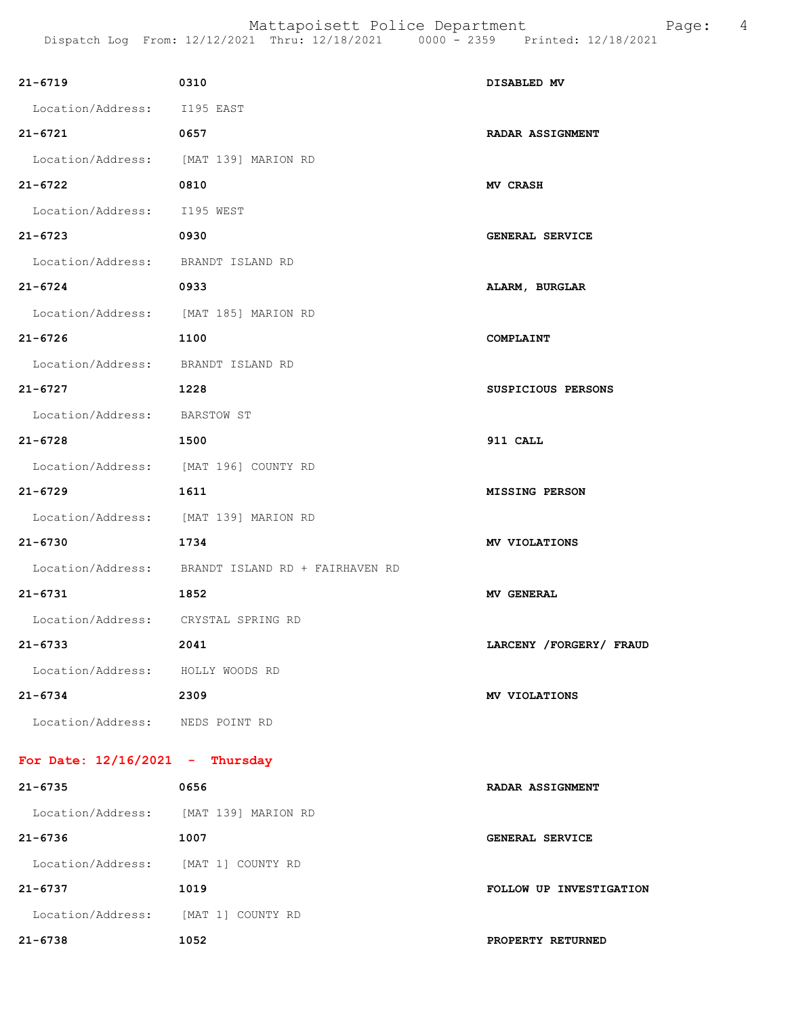| 21-6719                               | 0310                                              | DISABLED MV               |
|---------------------------------------|---------------------------------------------------|---------------------------|
| Location/Address: I195 EAST           |                                                   |                           |
| 21-6721                               | 0657                                              | <b>RADAR ASSIGNMENT</b>   |
| Location/Address: [MAT 139] MARION RD |                                                   |                           |
| $21 - 6722$                           | 0810                                              | <b>MV CRASH</b>           |
| Location/Address: I195 WEST           |                                                   |                           |
| $21 - 6723$                           | 0930                                              | GENERAL SERVICE           |
| Location/Address: BRANDT ISLAND RD    |                                                   |                           |
| $21 - 6724$                           | 0933                                              | ALARM, BURGLAR            |
| Location/Address: [MAT 185] MARION RD |                                                   |                           |
| $21 - 6726$                           | 1100                                              | COMPLAINT                 |
| Location/Address: BRANDT ISLAND RD    |                                                   |                           |
| $21 - 6727$                           | 1228                                              | SUSPICIOUS PERSONS        |
| Location/Address: BARSTOW ST          |                                                   |                           |
| $21 - 6728$                           | 1500                                              | 911 CALL                  |
| Location/Address: [MAT 196] COUNTY RD |                                                   |                           |
| $21 - 6729$                           | 1611                                              | <b>MISSING PERSON</b>     |
| Location/Address: [MAT 139] MARION RD |                                                   |                           |
| $21 - 6730$                           | 1734                                              | MV VIOLATIONS             |
|                                       | Location/Address: BRANDT ISLAND RD + FAIRHAVEN RD |                           |
| 21-6731                               | 1852                                              | <b>MV GENERAL</b>         |
| Location/Address: CRYSTAL SPRING RD   |                                                   |                           |
| $21 - 6733$                           | 2041                                              | LARCENY / FORGERY / FRAUD |
| Location/Address: HOLLY WOODS RD      |                                                   |                           |
| 21-6734                               | 2309                                              | MV VIOLATIONS             |
| Location/Address: NEDS POINT RD       |                                                   |                           |
| For Date: $12/16/2021$ - Thursday     |                                                   |                           |
| $21 - 6735$                           | 0656                                              | RADAR ASSIGNMENT          |
| Location/Address: [MAT 139] MARION RD |                                                   |                           |
| 21-6736                               | 1007                                              | GENERAL SERVICE           |
| Location/Address: [MAT 1] COUNTY RD   |                                                   |                           |
| $21 - 6737$                           | 1019                                              | FOLLOW UP INVESTIGATION   |
| Location/Address: [MAT 1] COUNTY RD   |                                                   |                           |
| 21-6738                               | 1052                                              | PROPERTY RETURNED         |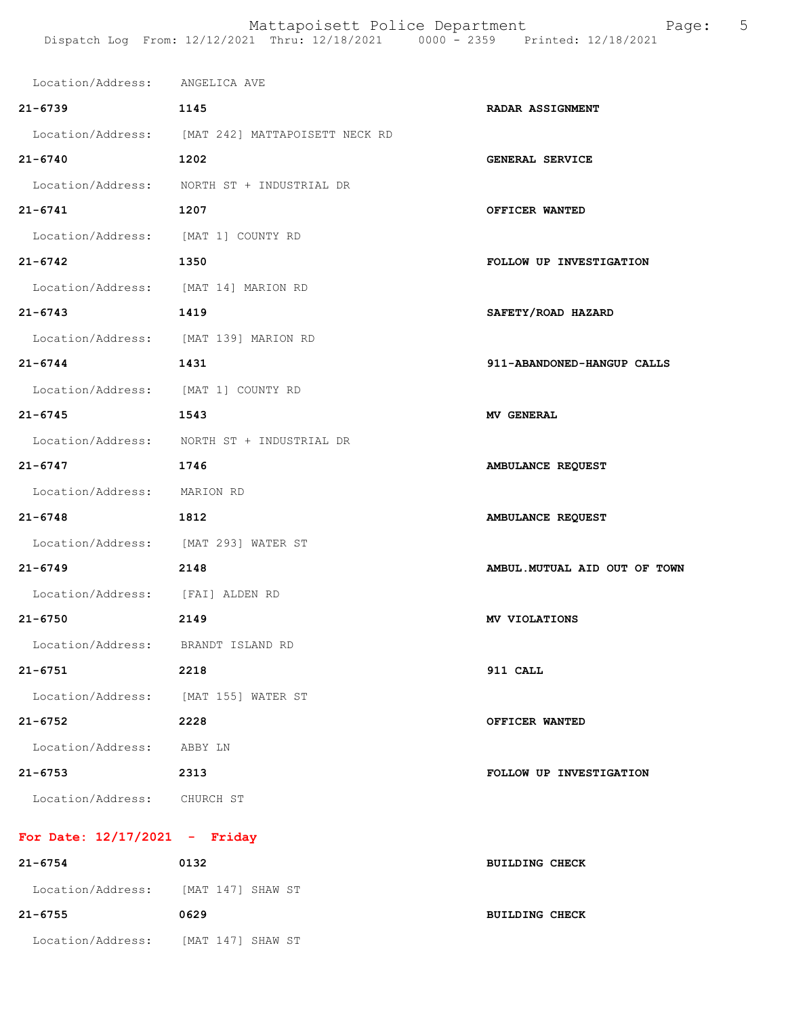| Location/Address: ANGELICA AVE      |                                                  |                               |
|-------------------------------------|--------------------------------------------------|-------------------------------|
| $21 - 6739$                         | 1145                                             | <b>RADAR ASSIGNMENT</b>       |
|                                     | Location/Address: [MAT 242] MATTAPOISETT NECK RD |                               |
| $21 - 6740$                         | 1202                                             | <b>GENERAL SERVICE</b>        |
|                                     | Location/Address: NORTH ST + INDUSTRIAL DR       |                               |
| $21 - 6741$                         | 1207                                             | OFFICER WANTED                |
| Location/Address: [MAT 1] COUNTY RD |                                                  |                               |
| $21 - 6742$                         | 1350                                             | FOLLOW UP INVESTIGATION       |
|                                     | Location/Address: [MAT 14] MARION RD             |                               |
| $21 - 6743$                         | 1419                                             | SAFETY/ROAD HAZARD            |
|                                     | Location/Address: [MAT 139] MARION RD            |                               |
| $21 - 6744$                         | 1431                                             | 911-ABANDONED-HANGUP CALLS    |
|                                     | Location/Address: [MAT 1] COUNTY RD              |                               |
| $21 - 6745$                         | 1543                                             | <b>MV GENERAL</b>             |
|                                     | Location/Address: NORTH ST + INDUSTRIAL DR       |                               |
| $21 - 6747$                         | 1746                                             | AMBULANCE REQUEST             |
| Location/Address: MARION RD         |                                                  |                               |
| $21 - 6748$                         | 1812                                             | AMBULANCE REQUEST             |
|                                     | Location/Address: [MAT 293] WATER ST             |                               |
| $21 - 6749$                         | 2148                                             | AMBUL. MUTUAL AID OUT OF TOWN |
| Location/Address: [FAI] ALDEN RD    |                                                  |                               |
| $21 - 6750$                         | 2149                                             | MV VIOLATIONS                 |
| Location/Address: BRANDT ISLAND RD  |                                                  |                               |
| $21 - 6751$                         | 2218                                             | 911 CALL                      |
|                                     | Location/Address: [MAT 155] WATER ST             |                               |
| $21 - 6752$                         | 2228                                             | OFFICER WANTED                |
| Location/Address: ABBY LN           |                                                  |                               |
| $21 - 6753$                         | 2313                                             | FOLLOW UP INVESTIGATION       |
| Location/Address: CHURCH ST         |                                                  |                               |
| For Date: $12/17/2021$ - Friday     |                                                  |                               |

| $21 - 6754$       | 0132              | <b>BUILDING CHECK</b> |
|-------------------|-------------------|-----------------------|
| Location/Address: | [MAT 147] SHAW ST |                       |
| $21 - 6755$       | 0629              | <b>BUILDING CHECK</b> |
| Location/Address: | [MAT 147] SHAW ST |                       |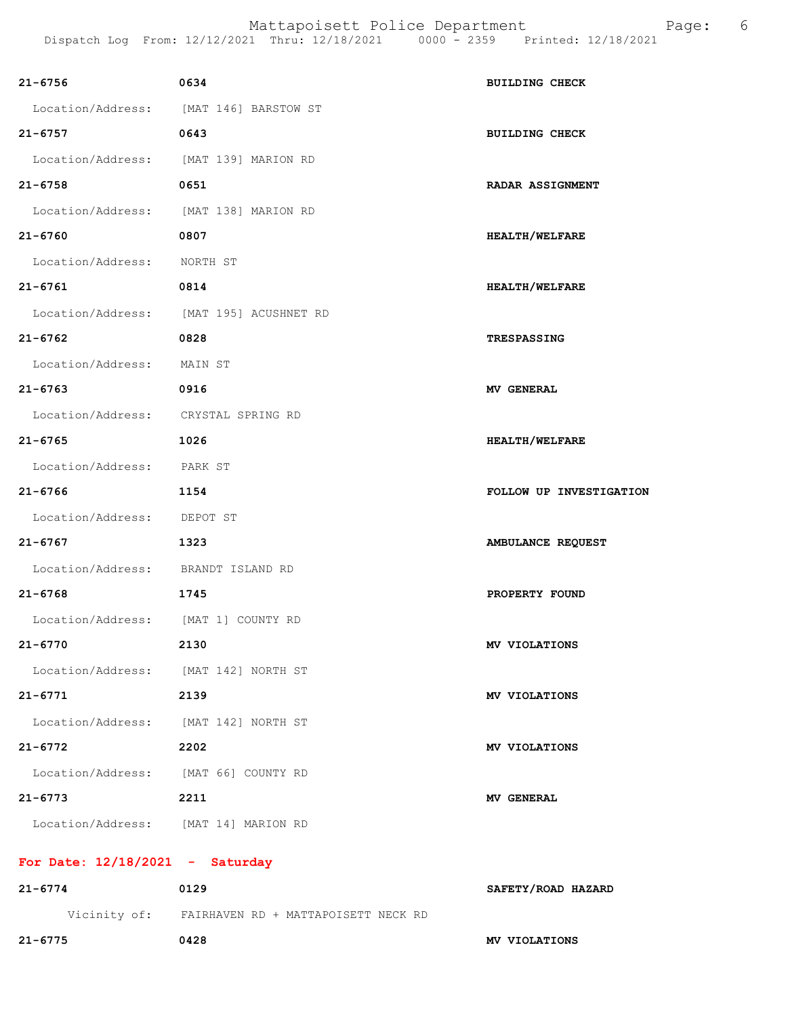| 21-6756                               | 0634                                             | <b>BUILDING CHECK</b>   |
|---------------------------------------|--------------------------------------------------|-------------------------|
|                                       | Location/Address: [MAT 146] BARSTOW ST           |                         |
| $21 - 6757$                           | 0643                                             | <b>BUILDING CHECK</b>   |
| Location/Address: [MAT 139] MARION RD |                                                  |                         |
| 21-6758                               | 0651                                             | <b>RADAR ASSIGNMENT</b> |
| Location/Address: [MAT 138] MARION RD |                                                  |                         |
| $21 - 6760$                           | 0807                                             | HEALTH/WELFARE          |
| Location/Address: NORTH ST            |                                                  |                         |
| $21 - 6761$                           | 0814                                             | <b>HEALTH/WELFARE</b>   |
|                                       | Location/Address: [MAT 195] ACUSHNET RD          |                         |
| $21 - 6762$                           | 0828                                             | <b>TRESPASSING</b>      |
| Location/Address: MAIN ST             |                                                  |                         |
| 21-6763                               | 0916                                             | <b>MV GENERAL</b>       |
| Location/Address: CRYSTAL SPRING RD   |                                                  |                         |
| $21 - 6765$                           | 1026                                             | <b>HEALTH/WELFARE</b>   |
| Location/Address: PARK ST             |                                                  |                         |
| $21 - 6766$                           | 1154                                             | FOLLOW UP INVESTIGATION |
| Location/Address: DEPOT ST            |                                                  |                         |
| $21 - 6767$                           | 1323                                             | AMBULANCE REQUEST       |
| Location/Address: BRANDT ISLAND RD    |                                                  |                         |
| $21 - 6768$<br>1745                   |                                                  | PROPERTY FOUND          |
| Location/Address: [MAT 1] COUNTY RD   |                                                  |                         |
| $21 - 6770$                           | 2130                                             | MV VIOLATIONS           |
| Location/Address: [MAT 142] NORTH ST  |                                                  |                         |
| 21-6771                               | 2139                                             | MV VIOLATIONS           |
| Location/Address: [MAT 142] NORTH ST  |                                                  |                         |
| $21 - 6772$                           | 2202                                             | MV VIOLATIONS           |
| Location/Address: [MAT 66] COUNTY RD  |                                                  |                         |
| $21 - 6773$                           | 2211                                             | <b>MV GENERAL</b>       |
| Location/Address: [MAT 14] MARION RD  |                                                  |                         |
| For Date: $12/18/2021$ - Saturday     |                                                  |                         |
| $21 - 6774$                           | 0129                                             | SAFETY/ROAD HAZARD      |
|                                       | Vicinity of: FAIRHAVEN RD + MATTAPOISETT NECK RD |                         |
| $21 - 6775$                           | 0428                                             | MV VIOLATIONS           |